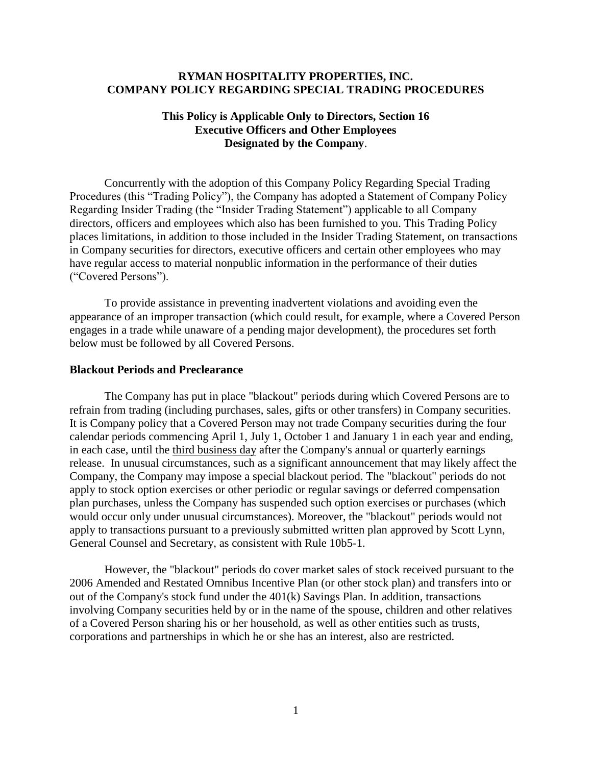### **RYMAN HOSPITALITY PROPERTIES, INC. COMPANY POLICY REGARDING SPECIAL TRADING PROCEDURES**

# **This Policy is Applicable Only to Directors, Section 16 Executive Officers and Other Employees Designated by the Company**.

Concurrently with the adoption of this Company Policy Regarding Special Trading Procedures (this "Trading Policy"), the Company has adopted a Statement of Company Policy Regarding Insider Trading (the "Insider Trading Statement") applicable to all Company directors, officers and employees which also has been furnished to you. This Trading Policy places limitations, in addition to those included in the Insider Trading Statement, on transactions in Company securities for directors, executive officers and certain other employees who may have regular access to material nonpublic information in the performance of their duties ("Covered Persons").

To provide assistance in preventing inadvertent violations and avoiding even the appearance of an improper transaction (which could result, for example, where a Covered Person engages in a trade while unaware of a pending major development), the procedures set forth below must be followed by all Covered Persons.

#### **Blackout Periods and Preclearance**

The Company has put in place "blackout" periods during which Covered Persons are to refrain from trading (including purchases, sales, gifts or other transfers) in Company securities. It is Company policy that a Covered Person may not trade Company securities during the four calendar periods commencing April 1, July 1, October 1 and January 1 in each year and ending, in each case, until the third business day after the Company's annual or quarterly earnings release. In unusual circumstances, such as a significant announcement that may likely affect the Company, the Company may impose a special blackout period. The "blackout" periods do not apply to stock option exercises or other periodic or regular savings or deferred compensation plan purchases, unless the Company has suspended such option exercises or purchases (which would occur only under unusual circumstances). Moreover, the "blackout" periods would not apply to transactions pursuant to a previously submitted written plan approved by Scott Lynn, General Counsel and Secretary, as consistent with Rule 10b5-1.

However, the "blackout" periods <u>do</u> cover market sales of stock received pursuant to the 2006 Amended and Restated Omnibus Incentive Plan (or other stock plan) and transfers into or out of the Company's stock fund under the 401(k) Savings Plan. In addition, transactions involving Company securities held by or in the name of the spouse, children and other relatives of a Covered Person sharing his or her household, as well as other entities such as trusts, corporations and partnerships in which he or she has an interest, also are restricted.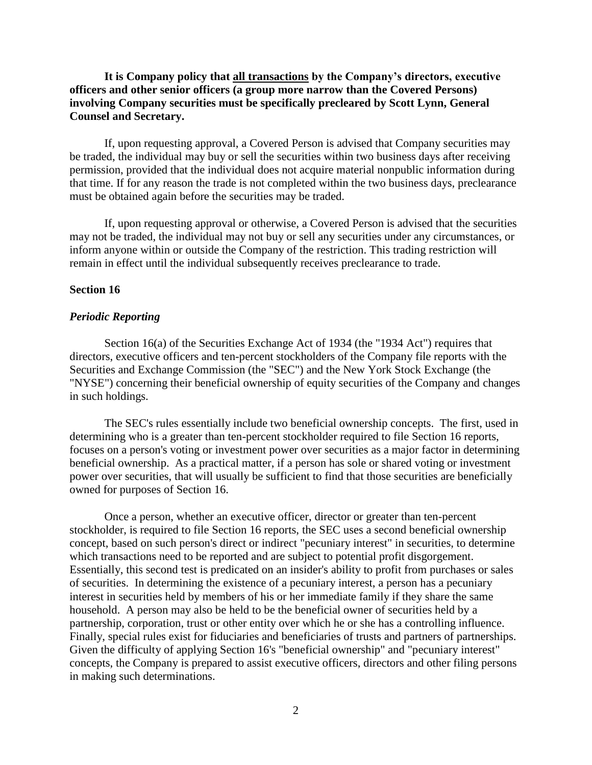## **It is Company policy that all transactions by the Company's directors, executive officers and other senior officers (a group more narrow than the Covered Persons) involving Company securities must be specifically precleared by Scott Lynn, General Counsel and Secretary.**

If, upon requesting approval, a Covered Person is advised that Company securities may be traded, the individual may buy or sell the securities within two business days after receiving permission, provided that the individual does not acquire material nonpublic information during that time. If for any reason the trade is not completed within the two business days, preclearance must be obtained again before the securities may be traded.

If, upon requesting approval or otherwise, a Covered Person is advised that the securities may not be traded, the individual may not buy or sell any securities under any circumstances, or inform anyone within or outside the Company of the restriction. This trading restriction will remain in effect until the individual subsequently receives preclearance to trade.

### **Section 16**

#### *Periodic Reporting*

Section 16(a) of the Securities Exchange Act of 1934 (the "1934 Act") requires that directors, executive officers and ten-percent stockholders of the Company file reports with the Securities and Exchange Commission (the "SEC") and the New York Stock Exchange (the "NYSE") concerning their beneficial ownership of equity securities of the Company and changes in such holdings.

The SEC's rules essentially include two beneficial ownership concepts. The first, used in determining who is a greater than ten-percent stockholder required to file Section 16 reports, focuses on a person's voting or investment power over securities as a major factor in determining beneficial ownership. As a practical matter, if a person has sole or shared voting or investment power over securities, that will usually be sufficient to find that those securities are beneficially owned for purposes of Section 16.

Once a person, whether an executive officer, director or greater than ten-percent stockholder, is required to file Section 16 reports, the SEC uses a second beneficial ownership concept, based on such person's direct or indirect "pecuniary interest" in securities, to determine which transactions need to be reported and are subject to potential profit disgorgement. Essentially, this second test is predicated on an insider's ability to profit from purchases or sales of securities. In determining the existence of a pecuniary interest, a person has a pecuniary interest in securities held by members of his or her immediate family if they share the same household. A person may also be held to be the beneficial owner of securities held by a partnership, corporation, trust or other entity over which he or she has a controlling influence. Finally, special rules exist for fiduciaries and beneficiaries of trusts and partners of partnerships. Given the difficulty of applying Section 16's "beneficial ownership" and "pecuniary interest" concepts, the Company is prepared to assist executive officers, directors and other filing persons in making such determinations.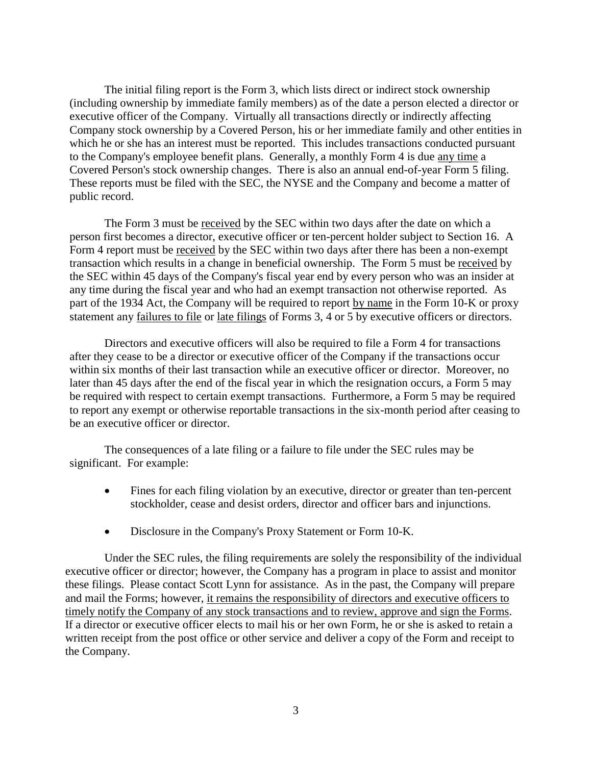The initial filing report is the Form 3, which lists direct or indirect stock ownership (including ownership by immediate family members) as of the date a person elected a director or executive officer of the Company. Virtually all transactions directly or indirectly affecting Company stock ownership by a Covered Person, his or her immediate family and other entities in which he or she has an interest must be reported. This includes transactions conducted pursuant to the Company's employee benefit plans. Generally, a monthly Form 4 is due any time a Covered Person's stock ownership changes. There is also an annual end-of-year Form 5 filing. These reports must be filed with the SEC, the NYSE and the Company and become a matter of public record.

The Form 3 must be received by the SEC within two days after the date on which a person first becomes a director, executive officer or ten-percent holder subject to Section 16. A Form 4 report must be received by the SEC within two days after there has been a non-exempt transaction which results in a change in beneficial ownership. The Form 5 must be received by the SEC within 45 days of the Company's fiscal year end by every person who was an insider at any time during the fiscal year and who had an exempt transaction not otherwise reported. As part of the 1934 Act, the Company will be required to report by name in the Form 10-K or proxy statement any failures to file or late filings of Forms 3, 4 or 5 by executive officers or directors.

Directors and executive officers will also be required to file a Form 4 for transactions after they cease to be a director or executive officer of the Company if the transactions occur within six months of their last transaction while an executive officer or director. Moreover, no later than 45 days after the end of the fiscal year in which the resignation occurs, a Form 5 may be required with respect to certain exempt transactions. Furthermore, a Form 5 may be required to report any exempt or otherwise reportable transactions in the six-month period after ceasing to be an executive officer or director.

The consequences of a late filing or a failure to file under the SEC rules may be significant. For example:

- Fines for each filing violation by an executive, director or greater than ten-percent stockholder, cease and desist orders, director and officer bars and injunctions.
- Disclosure in the Company's Proxy Statement or Form 10-K.

Under the SEC rules, the filing requirements are solely the responsibility of the individual executive officer or director; however, the Company has a program in place to assist and monitor these filings. Please contact Scott Lynn for assistance. As in the past, the Company will prepare and mail the Forms; however, it remains the responsibility of directors and executive officers to timely notify the Company of any stock transactions and to review, approve and sign the Forms. If a director or executive officer elects to mail his or her own Form, he or she is asked to retain a written receipt from the post office or other service and deliver a copy of the Form and receipt to the Company.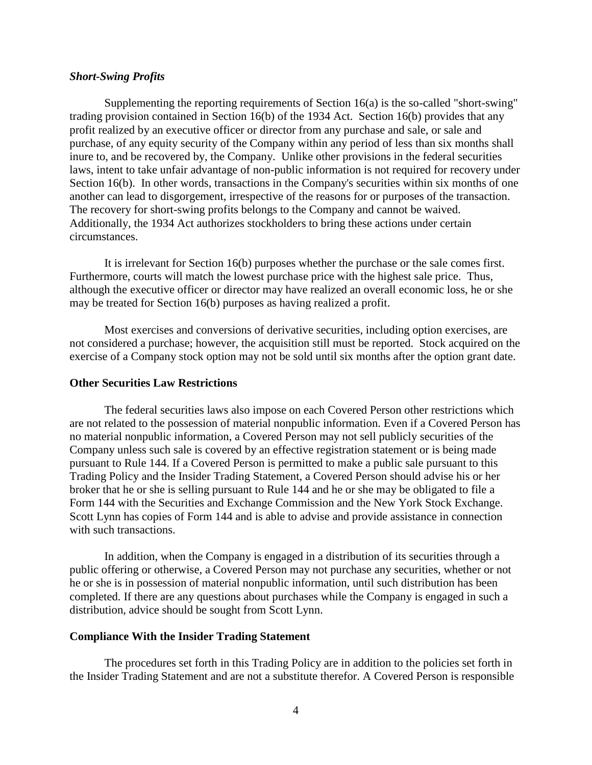#### *Short-Swing Profits*

Supplementing the reporting requirements of Section 16(a) is the so-called "short-swing" trading provision contained in Section 16(b) of the 1934 Act. Section 16(b) provides that any profit realized by an executive officer or director from any purchase and sale, or sale and purchase, of any equity security of the Company within any period of less than six months shall inure to, and be recovered by, the Company. Unlike other provisions in the federal securities laws, intent to take unfair advantage of non-public information is not required for recovery under Section 16(b). In other words, transactions in the Company's securities within six months of one another can lead to disgorgement, irrespective of the reasons for or purposes of the transaction. The recovery for short-swing profits belongs to the Company and cannot be waived. Additionally, the 1934 Act authorizes stockholders to bring these actions under certain circumstances.

It is irrelevant for Section 16(b) purposes whether the purchase or the sale comes first. Furthermore, courts will match the lowest purchase price with the highest sale price. Thus, although the executive officer or director may have realized an overall economic loss, he or she may be treated for Section 16(b) purposes as having realized a profit.

Most exercises and conversions of derivative securities, including option exercises, are not considered a purchase; however, the acquisition still must be reported. Stock acquired on the exercise of a Company stock option may not be sold until six months after the option grant date.

#### **Other Securities Law Restrictions**

The federal securities laws also impose on each Covered Person other restrictions which are not related to the possession of material nonpublic information. Even if a Covered Person has no material nonpublic information, a Covered Person may not sell publicly securities of the Company unless such sale is covered by an effective registration statement or is being made pursuant to Rule 144. If a Covered Person is permitted to make a public sale pursuant to this Trading Policy and the Insider Trading Statement, a Covered Person should advise his or her broker that he or she is selling pursuant to Rule 144 and he or she may be obligated to file a Form 144 with the Securities and Exchange Commission and the New York Stock Exchange. Scott Lynn has copies of Form 144 and is able to advise and provide assistance in connection with such transactions.

In addition, when the Company is engaged in a distribution of its securities through a public offering or otherwise, a Covered Person may not purchase any securities, whether or not he or she is in possession of material nonpublic information, until such distribution has been completed. If there are any questions about purchases while the Company is engaged in such a distribution, advice should be sought from Scott Lynn.

### **Compliance With the Insider Trading Statement**

The procedures set forth in this Trading Policy are in addition to the policies set forth in the Insider Trading Statement and are not a substitute therefor. A Covered Person is responsible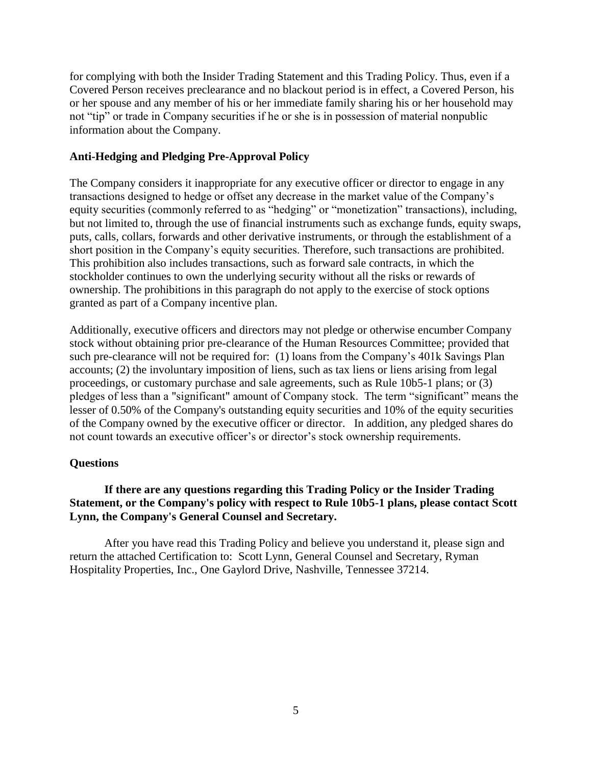for complying with both the Insider Trading Statement and this Trading Policy. Thus, even if a Covered Person receives preclearance and no blackout period is in effect, a Covered Person, his or her spouse and any member of his or her immediate family sharing his or her household may not "tip" or trade in Company securities if he or she is in possession of material nonpublic information about the Company.

# **Anti-Hedging and Pledging Pre-Approval Policy**

The Company considers it inappropriate for any executive officer or director to engage in any transactions designed to hedge or offset any decrease in the market value of the Company's equity securities (commonly referred to as "hedging" or "monetization" transactions), including, but not limited to, through the use of financial instruments such as exchange funds, equity swaps, puts, calls, collars, forwards and other derivative instruments, or through the establishment of a short position in the Company's equity securities. Therefore, such transactions are prohibited. This prohibition also includes transactions, such as forward sale contracts, in which the stockholder continues to own the underlying security without all the risks or rewards of ownership. The prohibitions in this paragraph do not apply to the exercise of stock options granted as part of a Company incentive plan.

Additionally, executive officers and directors may not pledge or otherwise encumber Company stock without obtaining prior pre-clearance of the Human Resources Committee; provided that such pre-clearance will not be required for: (1) loans from the Company's 401k Savings Plan accounts; (2) the involuntary imposition of liens, such as tax liens or liens arising from legal proceedings, or customary purchase and sale agreements, such as Rule 10b5-1 plans; or (3) pledges of less than a "significant" amount of Company stock. The term "significant" means the lesser of 0.50% of the Company's outstanding equity securities and 10% of the equity securities of the Company owned by the executive officer or director. In addition, any pledged shares do not count towards an executive officer's or director's stock ownership requirements.

### **Questions**

# **If there are any questions regarding this Trading Policy or the Insider Trading Statement, or the Company's policy with respect to Rule 10b5-1 plans, please contact Scott Lynn, the Company's General Counsel and Secretary.**

After you have read this Trading Policy and believe you understand it, please sign and return the attached Certification to: Scott Lynn, General Counsel and Secretary, Ryman Hospitality Properties, Inc., One Gaylord Drive, Nashville, Tennessee 37214.